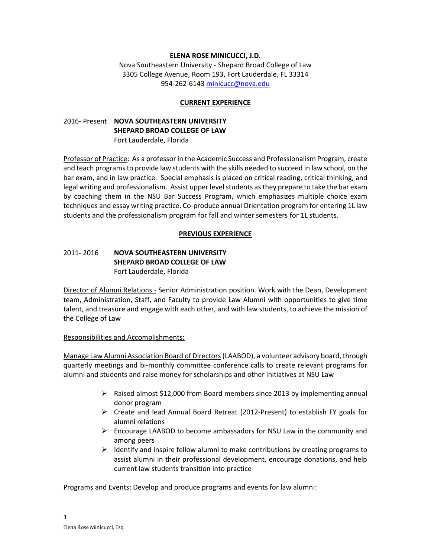## **ELENA ROSE MINICUCCI, J.D.**

Nova Southeastern University - Shepard Broad College of Law 3305 College Avenue, Room 193, Fort Lauderdale, FL 33314 954-262-6143 [minicucc@nova.edu](mailto:minicucc@nova.edu)

#### **CURRENT EXPERIENCE**

# 2016- Present **NOVA SOUTHEASTERN UNIVERSITY SHEPARD BROAD COLLEGE OF LAW** Fort Lauderdale, Florida

Professor of Practice: As a professor in the Academic Success and Professionalism Program, create and teach programsto provide law students with the skills needed to succeed in law school, on the bar exam, and in law practice. Special emphasis is placed on critical reading, critical thinking, and legal writing and professionalism. Assist upper level students as they prepare to take the bar exam by coaching them in the NSU Bar Success Program, which emphasizes multiple choice exam techniques and essay writing practice. Co-produce annual Orientation program for entering 1L law students and the professionalism program for fall and winter semesters for 1L students.

#### **PREVIOUS EXPERIENCE**

# 2011- 2016 **NOVA SOUTHEASTERN UNIVERSITY SHEPARD BROAD COLLEGE OF LAW** Fort Lauderdale, Florida

Director of Alumni Relations - Senior Administration position. Work with the Dean, Development team, Administration, Staff, and Faculty to provide Law Alumni with opportunities to give time talent, and treasure and engage with each other, and with law students, to achieve the mission of the College of Law

#### Responsibilities and Accomplishments:

Manage Law Alumni Association Board of Directors (LAABOD), a volunteer advisory board, through quarterly meetings and bi-monthly committee conference calls to create relevant programs for alumni and students and raise money for scholarships and other initiatives at NSU Law

- $\triangleright$  Raised almost \$12,000 from Board members since 2013 by implementing annual donor program
- Create and lead Annual Board Retreat (2012-Present) to establish FY goals for alumni relations
- $\triangleright$  Encourage LAABOD to become ambassadors for NSU Law in the community and among peers
- $\triangleright$  Identify and inspire fellow alumni to make contributions by creating programs to assist alumni in their professional development, encourage donations, and help current law students transition into practice

Programs and Events: Develop and produce programs and events for law alumni: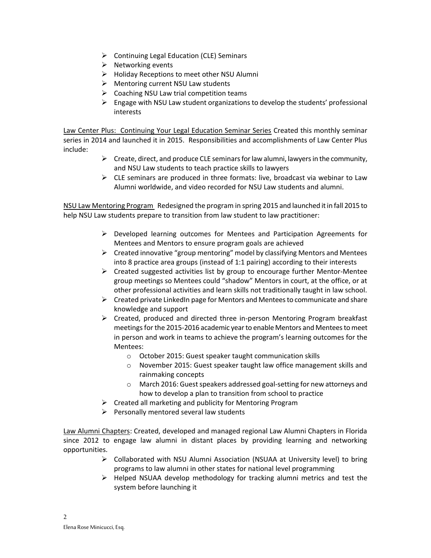- $\triangleright$  Continuing Legal Education (CLE) Seminars
- $\triangleright$  Networking events
- $\triangleright$  Holiday Receptions to meet other NSU Alumni
- $\triangleright$  Mentoring current NSU Law students
- $\triangleright$  Coaching NSU Law trial competition teams
- $\triangleright$  Engage with NSU Law student organizations to develop the students' professional interests

Law Center Plus: Continuing Your Legal Education Seminar Series Created this monthly seminar series in 2014 and launched it in 2015. Responsibilities and accomplishments of Law Center Plus include:

- $\triangleright$  Create, direct, and produce CLE seminars for law alumni, lawyers in the community, and NSU Law students to teach practice skills to lawyers
- $\triangleright$  CLE seminars are produced in three formats: live, broadcast via webinar to Law Alumni worldwide, and video recorded for NSU Law students and alumni.

NSU Law Mentoring Program Redesigned the program in spring 2015 and launched it in fall 2015 to help NSU Law students prepare to transition from law student to law practitioner:

- $\triangleright$  Developed learning outcomes for Mentees and Participation Agreements for Mentees and Mentors to ensure program goals are achieved
- $\triangleright$  Created innovative "group mentoring" model by classifying Mentors and Mentees into 8 practice area groups (instead of 1:1 pairing) according to their interests
- $\triangleright$  Created suggested activities list by group to encourage further Mentor-Mentee group meetings so Mentees could "shadow" Mentors in court, at the office, or at other professional activities and learn skills not traditionally taught in law school.
- $\triangleright$  Created private LinkedIn page for Mentors and Mentees to communicate and share knowledge and support
- $\triangleright$  Created, produced and directed three in-person Mentoring Program breakfast meetings for the 2015-2016 academic year to enable Mentors and Mentees to meet in person and work in teams to achieve the program's learning outcomes for the Mentees:
	- o October 2015: Guest speaker taught communication skills
	- o November 2015: Guest speaker taught law office management skills and rainmaking concepts
	- o March 2016: Guest speakers addressed goal-setting for new attorneys and how to develop a plan to transition from school to practice
- $\triangleright$  Created all marketing and publicity for Mentoring Program
- $\triangleright$  Personally mentored several law students

Law Alumni Chapters: Created, developed and managed regional Law Alumni Chapters in Florida since 2012 to engage law alumni in distant places by providing learning and networking opportunities.

- $\triangleright$  Collaborated with NSU Alumni Association (NSUAA at University level) to bring programs to law alumni in other states for national level programming
- $\triangleright$  Helped NSUAA develop methodology for tracking alumni metrics and test the system before launching it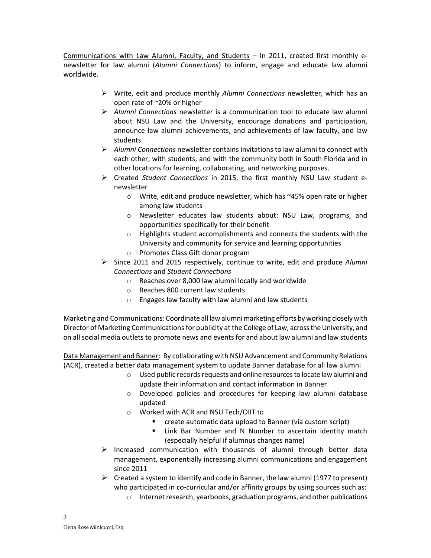Communications with Law Alumni, Faculty, and Students – In 2011, created first monthly enewsletter for law alumni (*Alumni Connections*) to inform, engage and educate law alumni worldwide.

- Write, edit and produce monthly *Alumni Connections* newsletter, which has an open rate of ~20% or higher
- *Alumni Connections* newsletter is a communication tool to educate law alumni about NSU Law and the University, encourage donations and participation, announce law alumni achievements, and achievements of law faculty, and law students
- *Alumni Connections* newsletter contains invitations to law alumni to connect with each other, with students, and with the community both in South Florida and in other locations for learning, collaborating, and networking purposes.
- Created *Student Connections* in 2015, the first monthly NSU Law student enewsletter
	- o Write, edit and produce newsletter, which has ~45% open rate or higher among law students
	- o Newsletter educates law students about: NSU Law, programs, and opportunities specifically for their benefit
	- $\circ$  Highlights student accomplishments and connects the students with the University and community for service and learning opportunities
	- o Promotes Class Gift donor program
- Since 2011 and 2015 respectively, continue to write, edit and produce *Alumni Connections* and *Student Connections*
	- o Reaches over 8,000 law alumni locally and worldwide
	- o Reaches 800 current law students
	- o Engages law faculty with law alumni and law students

Marketing and Communications: Coordinate all law alumni marketing efforts by working closely with Director of Marketing Communications for publicity at the College of Law, across the University, and on all social media outlets to promote news and events for and about law alumni and law students

Data Management and Banner: By collaborating with NSU Advancement and Community Relations (ACR), created a better data management system to update Banner database for all law alumni

- $\circ$  Used public records requests and online resources to locate law alumni and update their information and contact information in Banner
- o Developed policies and procedures for keeping law alumni database updated
- o Worked with ACR and NSU Tech/OIIT to
	- create automatic data upload to Banner (via custom script)
	- **E.** Link Bar Number and N Number to ascertain identity match (especially helpful if alumnus changes name)
- $\triangleright$  Increased communication with thousands of alumni through better data management, exponentially increasing alumni communications and engagement since 2011
- $\triangleright$  Created a system to identify and code in Banner, the law alumni (1977 to present) who participated in co-curricular and/or affinity groups by using sources such as: o Internet research, yearbooks, graduation programs, and other publications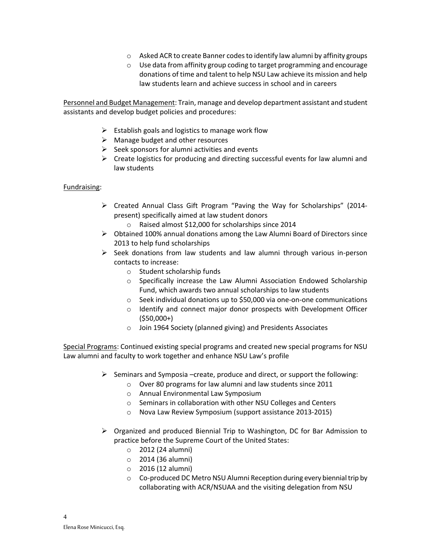- o Asked ACR to create Banner codes to identify law alumni by affinity groups
- o Use data from affinity group coding to target programming and encourage donations of time and talent to help NSU Law achieve its mission and help law students learn and achieve success in school and in careers

Personnel and Budget Management: Train, manage and develop department assistant and student assistants and develop budget policies and procedures:

- $\triangleright$  Establish goals and logistics to manage work flow
- $\triangleright$  Manage budget and other resources
- $\triangleright$  Seek sponsors for alumni activities and events
- $\triangleright$  Create logistics for producing and directing successful events for law alumni and law students

# Fundraising:

- Created Annual Class Gift Program "Paving the Way for Scholarships" (2014 present) specifically aimed at law student donors
	- o Raised almost \$12,000 for scholarships since 2014
- $\triangleright$  Obtained 100% annual donations among the Law Alumni Board of Directors since 2013 to help fund scholarships
- $\triangleright$  Seek donations from law students and law alumni through various in-person contacts to increase:
	- o Student scholarship funds
	- $\circ$  Specifically increase the Law Alumni Association Endowed Scholarship Fund, which awards two annual scholarships to law students
	- o Seek individual donations up to \$50,000 via one-on-one communications
	- o Identify and connect major donor prospects with Development Officer  $(550,000+)$
	- o Join 1964 Society (planned giving) and Presidents Associates

Special Programs: Continued existing special programs and created new special programs for NSU Law alumni and faculty to work together and enhance NSU Law's profile

- $\triangleright$  Seminars and Symposia –create, produce and direct, or support the following:
	- o Over 80 programs for law alumni and law students since 2011
	- o Annual Environmental Law Symposium
	- o Seminars in collaboration with other NSU Colleges and Centers
	- o Nova Law Review Symposium (support assistance 2013-2015)
- $\triangleright$  Organized and produced Biennial Trip to Washington, DC for Bar Admission to practice before the Supreme Court of the United States:
	- o 2012 (24 alumni)
	- o 2014 (36 alumni)
	- o 2016 (12 alumni)
	- $\circ$  Co-produced DC Metro NSU Alumni Reception during every biennial trip by collaborating with ACR/NSUAA and the visiting delegation from NSU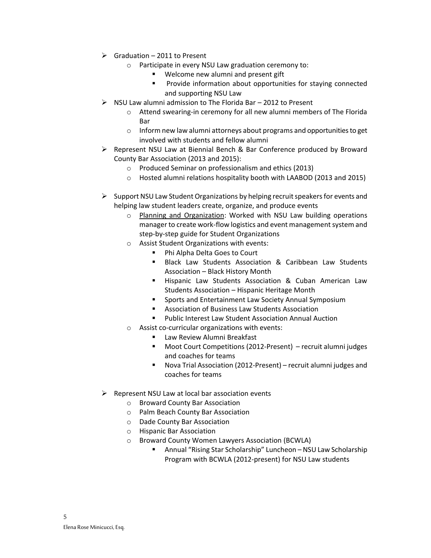- $\triangleright$  Graduation 2011 to Present
	- o Participate in every NSU Law graduation ceremony to:
		- Welcome new alumni and present gift
		- **Provide information about opportunities for staying connected** and supporting NSU Law
- $\triangleright$  NSU Law alumni admission to The Florida Bar 2012 to Present
	- o Attend swearing-in ceremony for all new alumni members of The Florida Bar
	- o Inform new law alumni attorneys about programs and opportunities to get involved with students and fellow alumni
- $\triangleright$  Represent NSU Law at Biennial Bench & Bar Conference produced by Broward County Bar Association (2013 and 2015):
	- o Produced Seminar on professionalism and ethics (2013)
	- o Hosted alumni relations hospitality booth with LAABOD (2013 and 2015)
- $\triangleright$  Support NSU Law Student Organizations by helping recruit speakers for events and helping law student leaders create, organize, and produce events
	- o Planning and Organization: Worked with NSU Law building operations manager to create work-flow logistics and event management system and step-by-step guide for Student Organizations
	- o Assist Student Organizations with events:
		- Phi Alpha Delta Goes to Court
		- **Black Law Students Association & Caribbean Law Students** Association – Black History Month
		- **Hispanic Law Students Association & Cuban American Law** Students Association – Hispanic Heritage Month
		- **Sports and Entertainment Law Society Annual Symposium**
		- Association of Business Law Students Association
		- Public Interest Law Student Association Annual Auction
	- o Assist co-curricular organizations with events:
		- **E** Law Review Alumni Breakfast
		- Moot Court Competitions (2012-Present) recruit alumni judges and coaches for teams
		- Nova Trial Association (2012-Present) recruit alumni judges and coaches for teams
- $\triangleright$  Represent NSU Law at local bar association events
	- o Broward County Bar Association
	- o Palm Beach County Bar Association
	- o Dade County Bar Association
	- o Hispanic Bar Association
	- o Broward County Women Lawyers Association (BCWLA)
		- Annual "Rising Star Scholarship" Luncheon NSU Law Scholarship Program with BCWLA (2012-present) for NSU Law students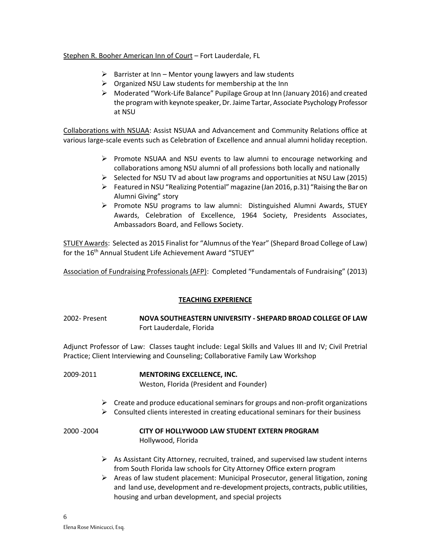# Stephen R. Booher American Inn of Court – Fort Lauderdale, FL

- $\triangleright$  Barrister at Inn Mentor young lawyers and law students
- $\triangleright$  Organized NSU Law students for membership at the Inn
- Moderated "Work-Life Balance" Pupilage Group at Inn (January 2016) and created the program with keynote speaker, Dr. Jaime Tartar, Associate Psychology Professor at NSU

Collaborations with NSUAA: Assist NSUAA and Advancement and Community Relations office at various large-scale events such as Celebration of Excellence and annual alumni holiday reception.

- $\triangleright$  Promote NSUAA and NSU events to law alumni to encourage networking and collaborations among NSU alumni of all professions both locally and nationally
- $\triangleright$  Selected for NSU TV ad about law programs and opportunities at NSU Law (2015)
- $\triangleright$  Featured in NSU "Realizing Potential" magazine (Jan 2016, p.31) "Raising the Bar on Alumni Giving" story
- $\triangleright$  Promote NSU programs to law alumni: Distinguished Alumni Awards, STUEY Awards, Celebration of Excellence, 1964 Society, Presidents Associates, Ambassadors Board, and Fellows Society.

STUEY Awards: Selected as 2015 Finalist for "Alumnus of the Year" (Shepard Broad College of Law) for the 16<sup>th</sup> Annual Student Life Achievement Award "STUEY"

Association of Fundraising Professionals (AFP): Completed "Fundamentals of Fundraising" (2013)

# **TEACHING EXPERIENCE**

# 2002- Present **NOVA SOUTHEASTERN UNIVERSITY - SHEPARD BROAD COLLEGE OF LAW** Fort Lauderdale, Florida

Adjunct Professor of Law: Classes taught include: Legal Skills and Values III and IV; Civil Pretrial Practice; Client Interviewing and Counseling; Collaborative Family Law Workshop

# 2009-2011 **MENTORING EXCELLENCE, INC.**

Weston, Florida (President and Founder)

- $\triangleright$  Create and produce educational seminars for groups and non-profit organizations
- $\triangleright$  Consulted clients interested in creating educational seminars for their business

# 2000 -2004 **CITY OF HOLLYWOOD LAW STUDENT EXTERN PROGRAM** Hollywood, Florida

- $\triangleright$  As Assistant City Attorney, recruited, trained, and supervised law student interns from South Florida law schools for City Attorney Office extern program
- $\triangleright$  Areas of law student placement: Municipal Prosecutor, general litigation, zoning and land use, development and re-development projects, contracts, public utilities, housing and urban development, and special projects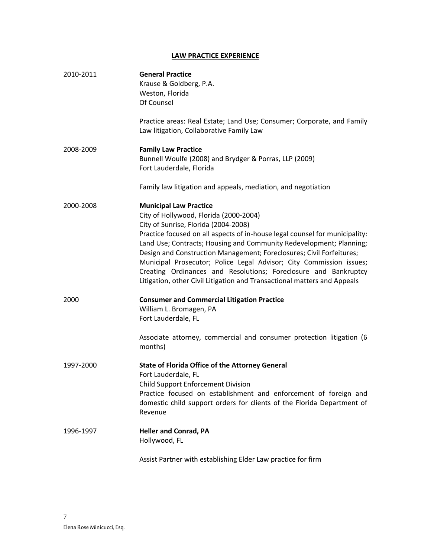# **LAW PRACTICE EXPERIENCE**

| 2010-2011 | <b>General Practice</b><br>Krause & Goldberg, P.A.<br>Weston, Florida<br>Of Counsel<br>Practice areas: Real Estate; Land Use; Consumer; Corporate, and Family<br>Law litigation, Collaborative Family Law                                                                                                                                                                                                                                                                                                                                                           |
|-----------|---------------------------------------------------------------------------------------------------------------------------------------------------------------------------------------------------------------------------------------------------------------------------------------------------------------------------------------------------------------------------------------------------------------------------------------------------------------------------------------------------------------------------------------------------------------------|
| 2008-2009 | <b>Family Law Practice</b><br>Bunnell Woulfe (2008) and Brydger & Porras, LLP (2009)<br>Fort Lauderdale, Florida                                                                                                                                                                                                                                                                                                                                                                                                                                                    |
|           | Family law litigation and appeals, mediation, and negotiation                                                                                                                                                                                                                                                                                                                                                                                                                                                                                                       |
| 2000-2008 | <b>Municipal Law Practice</b><br>City of Hollywood, Florida (2000-2004)<br>City of Sunrise, Florida (2004-2008)<br>Practice focused on all aspects of in-house legal counsel for municipality:<br>Land Use; Contracts; Housing and Community Redevelopment; Planning;<br>Design and Construction Management; Foreclosures; Civil Forfeitures;<br>Municipal Prosecutor; Police Legal Advisor; City Commission issues;<br>Creating Ordinances and Resolutions; Foreclosure and Bankruptcy<br>Litigation, other Civil Litigation and Transactional matters and Appeals |
| 2000      | <b>Consumer and Commercial Litigation Practice</b><br>William L. Bromagen, PA<br>Fort Lauderdale, FL<br>Associate attorney, commercial and consumer protection litigation (6                                                                                                                                                                                                                                                                                                                                                                                        |
|           | months)                                                                                                                                                                                                                                                                                                                                                                                                                                                                                                                                                             |
| 1997-2000 | <b>State of Florida Office of the Attorney General</b><br>Fort Lauderdale, FL<br><b>Child Support Enforcement Division</b><br>Practice focused on establishment and enforcement of foreign and<br>domestic child support orders for clients of the Florida Department of<br>Revenue                                                                                                                                                                                                                                                                                 |
| 1996-1997 | <b>Heller and Conrad, PA</b><br>Hollywood, FL                                                                                                                                                                                                                                                                                                                                                                                                                                                                                                                       |

Assist Partner with establishing Elder Law practice for firm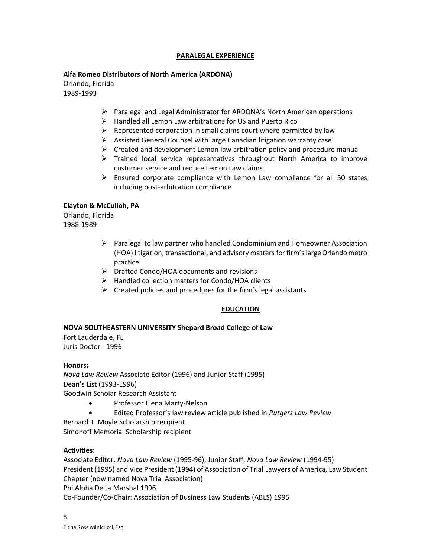# **PARALEGAL EXPERIENCE**

# **Alfa Romeo Distributors of North America (ARDONA)**

Orlando, Florida 1989-1993

- Paralegal and Legal Administrator for ARDONA's North American operations
- $\triangleright$  Handled all Lemon Law arbitrations for US and Puerto Rico
- $\triangleright$  Represented corporation in small claims court where permitted by law
- $\triangleright$  Assisted General Counsel with large Canadian litigation warranty case
- $\triangleright$  Created and development Lemon law arbitration policy and procedure manual
- $\triangleright$  Trained local service representatives throughout North America to improve customer service and reduce Lemon Law claims
- $\triangleright$  Ensured corporate compliance with Lemon Law compliance for all 50 states including post-arbitration compliance

# **Clayton & McCulloh, PA**

Orlando, Florida 1988-1989

- $\triangleright$  Paralegal to law partner who handled Condominium and Homeowner Association (HOA) litigation, transactional, and advisory matters for firm's large Orlando metro practice
- Drafted Condo/HOA documents and revisions
- $\triangleright$  Handled collection matters for Condo/HOA clients
- $\triangleright$  Created policies and procedures for the firm's legal assistants

# **EDUCATION**

# **NOVA SOUTHEASTERN UNIVERSITY Shepard Broad College of Law**

Fort Lauderdale, FL Juris Doctor - 1996

# **Honors:**

*Nova Law Review* Associate Editor (1996) and Junior Staff (1995) Dean's List (1993-1996) Goodwin Scholar Research Assistant

- Professor Elena Marty-Nelson
- Edited Professor's law review article published in *Rutgers Law Review*

Bernard T. Moyle Scholarship recipient

Simonoff Memorial Scholarship recipient

# **Activities:**

Associate Editor, *Nova Law Review* (1995-96); Junior Staff, *Nova Law Review* (1994-95) President (1995) and Vice President (1994) of Association of Trial Lawyers of America, Law Student Chapter (now named Nova Trial Association) Phi Alpha Delta Marshal 1996

Co-Founder/Co-Chair: Association of Business Law Students (ABLS) 1995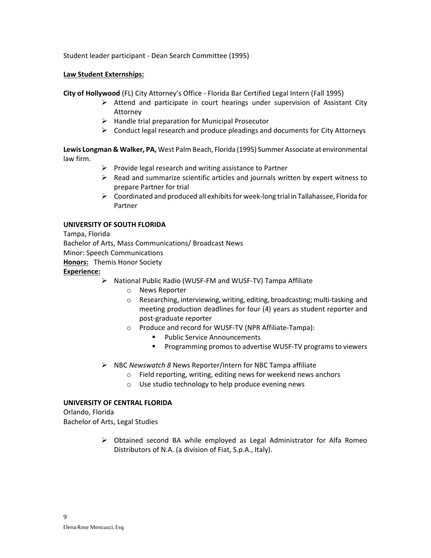Student leader participant - Dean Search Committee (1995)

## **Law Student Externships:**

**City of Hollywood** (FL) City Attorney's Office - Florida Bar Certified Legal Intern (Fall 1995)

- $\triangleright$  Attend and participate in court hearings under supervision of Assistant City Attorney
- $\triangleright$  Handle trial preparation for Municipal Prosecutor
- $\triangleright$  Conduct legal research and produce pleadings and documents for City Attorneys

**Lewis Longman & Walker, PA,** West Palm Beach, Florida (1995) Summer Associate at environmental law firm.

- $\triangleright$  Provide legal research and writing assistance to Partner
- $\triangleright$  Read and summarize scientific articles and journals written by expert witness to prepare Partner for trial
- $\triangleright$  Coordinated and produced all exhibits for week-long trial in Tallahassee, Florida for Partner

# **UNIVERSITY OF SOUTH FLORIDA**

Tampa, Florida

Bachelor of Arts, Mass Communications/ Broadcast News

Minor: Speech Communications

**Honors:** Themis Honor Society

#### **Experience:**

- National Public Radio (WUSF-FM and WUSF-TV) Tampa Affiliate
	- o News Reporter
	- o Researching, interviewing, writing, editing, broadcasting; multi-tasking and meeting production deadlines for four (4) years as student reporter and post-graduate reporter
	- o Produce and record for WUSF-TV (NPR Affiliate-Tampa):
		- **Public Service Announcements**
		- **Programming promos to advertise WUSF-TV programs to viewers**
- NBC *Newswatch 8* News Reporter/Intern for NBC Tampa affiliate
	- o Field reporting, writing, editing news for weekend news anchors
	- o Use studio technology to help produce evening news

# **UNIVERSITY OF CENTRAL FLORIDA**

Orlando, Florida Bachelor of Arts, Legal Studies

> $\triangleright$  Obtained second BA while employed as Legal Administrator for Alfa Romeo Distributors of N.A. (a division of Fiat, S.p.A., Italy).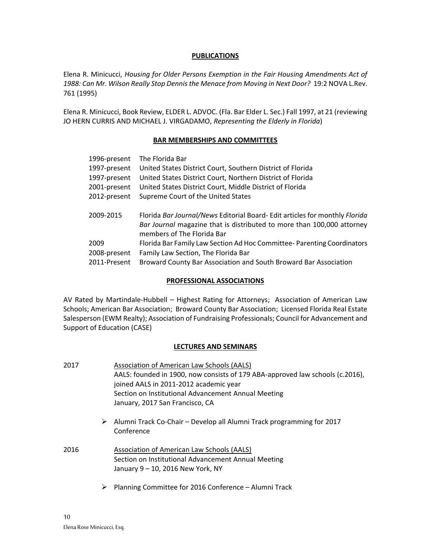## **PUBLICATIONS**

Elena R. Minicucci, *Housing for Older Persons Exemption in the Fair Housing Amendments Act of 1988: Can Mr. Wilson Really Stop Dennis the Menace from Moving in Next Door?* 19:2 NOVA L.Rev. 761 (1995)

Elena R. Minicucci, Book Review, ELDER L. ADVOC. (Fla. Bar Elder L. Sec.) Fall 1997, at 21 (reviewing JO HERN CURRIS AND MICHAEL J. VIRGADAMO, *Representing the Elderly in Florida*)

#### **BAR MEMBERSHIPS AND COMMITTEES**

| 1996-present | The Florida Bar                                                            |
|--------------|----------------------------------------------------------------------------|
| 1997-present | United States District Court, Southern District of Florida                 |
| 1997-present | United States District Court, Northern District of Florida                 |
| 2001-present | United States District Court, Middle District of Florida                   |
| 2012-present | Supreme Court of the United States                                         |
|              |                                                                            |
|              |                                                                            |
| 2009-2015    | Florida Bar Journal/News Editorial Board-Edit articles for monthly Florida |
|              | Bar Journal magazine that is distributed to more than 100,000 attorney     |
|              | members of The Florida Bar                                                 |
| 2009         | Florida Bar Family Law Section Ad Hoc Committee-Parenting Coordinators     |
| 2008-present | Family Law Section, The Florida Bar                                        |

## **PROFESSIONAL ASSOCIATIONS**

AV Rated by Martindale-Hubbell – Highest Rating for Attorneys; Association of American Law Schools; American Bar Association; Broward County Bar Association; Licensed Florida Real Estate Salesperson (EWM Realty); Association of Fundraising Professionals; Council for Advancement and Support of Education (CASE)

# **LECTURES AND SEMINARS**

| 2017 |   | Association of American Law Schools (AALS)                                                                                             |
|------|---|----------------------------------------------------------------------------------------------------------------------------------------|
|      |   | AALS: founded in 1900, now consists of 179 ABA-approved law schools (c.2016),                                                          |
|      |   | joined AALS in 2011-2012 academic year                                                                                                 |
|      |   | Section on Institutional Advancement Annual Meeting                                                                                    |
|      |   | January, 2017 San Francisco, CA                                                                                                        |
|      | ➤ | Alumni Track Co-Chair – Develop all Alumni Track programming for 2017<br>Conference                                                    |
| 2016 |   | Association of American Law Schools (AALS)<br>Section on Institutional Advancement Annual Meeting<br>January 9 - 10, 2016 New York, NY |
|      | ⋗ | Planning Committee for 2016 Conference - Alumni Track                                                                                  |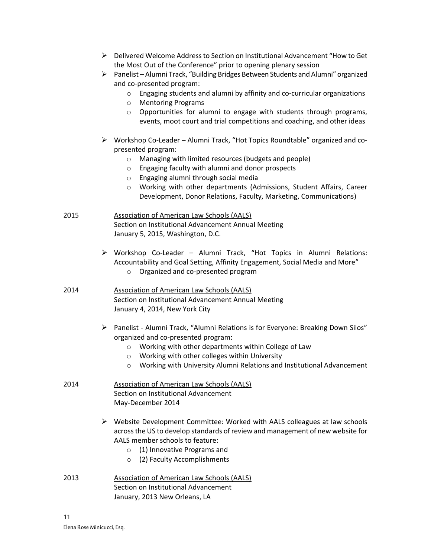- Delivered Welcome Address to Section on Institutional Advancement "How to Get the Most Out of the Conference" prior to opening plenary session
- $\triangleright$  Panelist Alumni Track, "Building Bridges Between Students and Alumni" organized and co-presented program:
	- o Engaging students and alumni by affinity and co-curricular organizations
	- o Mentoring Programs
	- o Opportunities for alumni to engage with students through programs, events, moot court and trial competitions and coaching, and other ideas
- Workshop Co-Leader Alumni Track, "Hot Topics Roundtable" organized and copresented program:
	- o Managing with limited resources (budgets and people)
	- o Engaging faculty with alumni and donor prospects
	- o Engaging alumni through social media
	- o Working with other departments (Admissions, Student Affairs, Career Development, Donor Relations, Faculty, Marketing, Communications)
- 2015 Association of American Law Schools (AALS) Section on Institutional Advancement Annual Meeting January 5, 2015, Washington, D.C.
	- Workshop Co-Leader Alumni Track, "Hot Topics in Alumni Relations: Accountability and Goal Setting, Affinity Engagement, Social Media and More" o Organized and co-presented program
- 2014 Association of American Law Schools (AALS) Section on Institutional Advancement Annual Meeting January 4, 2014, New York City
	- Panelist Alumni Track, "Alumni Relations is for Everyone: Breaking Down Silos" organized and co-presented program:
		- o Working with other departments within College of Law
		- o Working with other colleges within University
		- o Working with University Alumni Relations and Institutional Advancement
- 2014 Association of American Law Schools (AALS) Section on Institutional Advancement May-December 2014
	- $\triangleright$  Website Development Committee: Worked with AALS colleagues at law schools across the US to develop standards of review and management of new website for AALS member schools to feature:
		- o (1) Innovative Programs and
		- o (2) Faculty Accomplishments
- 2013 Association of American Law Schools (AALS) Section on Institutional Advancement January, 2013 New Orleans, LA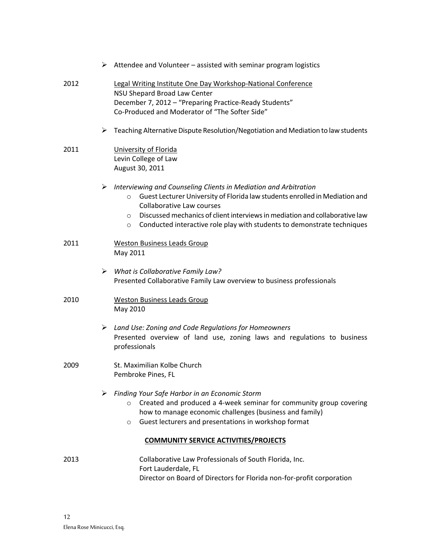|                                              | $\triangleright$ Attendee and Volunteer – assisted with seminar program logistics                                                                                                                                                                                                                                                                                                   |  |  |
|----------------------------------------------|-------------------------------------------------------------------------------------------------------------------------------------------------------------------------------------------------------------------------------------------------------------------------------------------------------------------------------------------------------------------------------------|--|--|
| 2012                                         | Legal Writing Institute One Day Workshop-National Conference<br>NSU Shepard Broad Law Center<br>December 7, 2012 - "Preparing Practice-Ready Students"<br>Co-Produced and Moderator of "The Softer Side"                                                                                                                                                                            |  |  |
|                                              | Teaching Alternative Dispute Resolution/Negotiation and Mediation to law students<br>➤                                                                                                                                                                                                                                                                                              |  |  |
| 2011                                         | University of Florida<br>Levin College of Law<br>August 30, 2011                                                                                                                                                                                                                                                                                                                    |  |  |
|                                              | Interviewing and Counseling Clients in Mediation and Arbitration<br>➤<br>Guest Lecturer University of Florida law students enrolled in Mediation and<br>$\circ$<br><b>Collaborative Law courses</b><br>Discussed mechanics of client interviews in mediation and collaborative law<br>$\circ$<br>Conducted interactive role play with students to demonstrate techniques<br>$\circ$ |  |  |
| 2011                                         | <b>Weston Business Leads Group</b><br>May 2011                                                                                                                                                                                                                                                                                                                                      |  |  |
|                                              | $\triangleright$ What is Collaborative Family Law?<br>Presented Collaborative Family Law overview to business professionals                                                                                                                                                                                                                                                         |  |  |
| 2010                                         | <b>Weston Business Leads Group</b><br>May 2010                                                                                                                                                                                                                                                                                                                                      |  |  |
|                                              | $\triangleright$ Land Use: Zoning and Code Regulations for Homeowners<br>Presented overview of land use, zoning laws and regulations to business<br>professionals                                                                                                                                                                                                                   |  |  |
| 2009                                         | St. Maximilian Kolbe Church<br>Pembroke Pines, FL                                                                                                                                                                                                                                                                                                                                   |  |  |
|                                              | Finding Your Safe Harbor in an Economic Storm<br>Created and produced a 4-week seminar for community group covering<br>$\circ$<br>how to manage economic challenges (business and family)<br>Guest lecturers and presentations in workshop format<br>$\circ$                                                                                                                        |  |  |
| <b>COMMUNITY SERVICE ACTIVITIES/PROJECTS</b> |                                                                                                                                                                                                                                                                                                                                                                                     |  |  |
| 2013                                         | Collaborative Law Professionals of South Florida, Inc.<br>Fort Lauderdale, FL<br>Director on Board of Directors for Florida non-for-profit corporation                                                                                                                                                                                                                              |  |  |